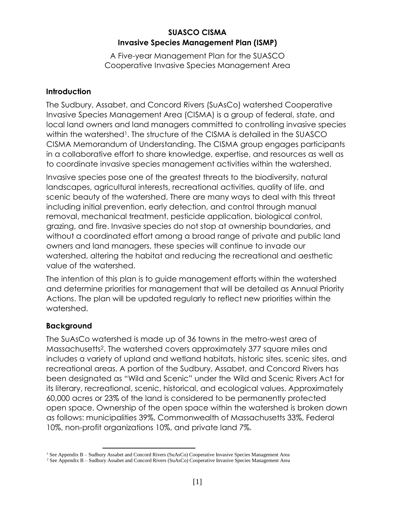### **SUASCO CISMA Invasive Species Management Plan (ISMP)**

A Five-year Management Plan for the SUASCO Cooperative Invasive Species Management Area

### **Introduction**

The Sudbury, Assabet, and Concord Rivers (SuAsCo) watershed Cooperative Invasive Species Management Area (CISMA) is a group of federal, state, and local land owners and land managers committed to controlling invasive species within the watershed<sup>1</sup>. The structure of the CISMA is detailed in the SUASCO CISMA Memorandum of Understanding. The CISMA group engages participants in a collaborative effort to share knowledge, expertise, and resources as well as to coordinate invasive species management activities within the watershed.

Invasive species pose one of the greatest threats to the biodiversity, natural landscapes, agricultural interests, recreational activities, quality of life, and scenic beauty of the watershed. There are many ways to deal with this threat including initial prevention, early detection, and control through manual removal, mechanical treatment, pesticide application, biological control, grazing, and fire. Invasive species do not stop at ownership boundaries, and without a coordinated effort among a broad range of private and public land owners and land managers, these species will continue to invade our watershed, altering the habitat and reducing the recreational and aesthetic value of the watershed.

The intention of this plan is to guide management efforts within the watershed and determine priorities for management that will be detailed as Annual Priority Actions. The plan will be updated regularly to reflect new priorities within the watershed.

## **Background**

 $\overline{a}$ 

The SuAsCo watershed is made up of 36 towns in the metro-west area of Massachusetts2. The watershed covers approximately 377 square miles and includes a variety of upland and wetland habitats, historic sites, scenic sites, and recreational areas. A portion of the Sudbury, Assabet, and Concord Rivers has been designated as "Wild and Scenic" under the Wild and Scenic Rivers Act for its literary, recreational, scenic, historical, and ecological values. Approximately 60,000 acres or 23% of the land is considered to be permanently protected open space. Ownership of the open space within the watershed is broken down as follows: municipalities 39%, Commonwealth of Massachusetts 33%, Federal 10%, non-profit organizations 10%, and private land 7%.

<sup>&</sup>lt;sup>1</sup> See Appendix B – Sudbury Assabet and Concord Rivers (SuAsCo) Cooperative Invasive Species Management Area

<sup>2</sup> See Appendix B – Sudbury Assabet and Concord Rivers (SuAsCo) Cooperative Invasive Species Management Area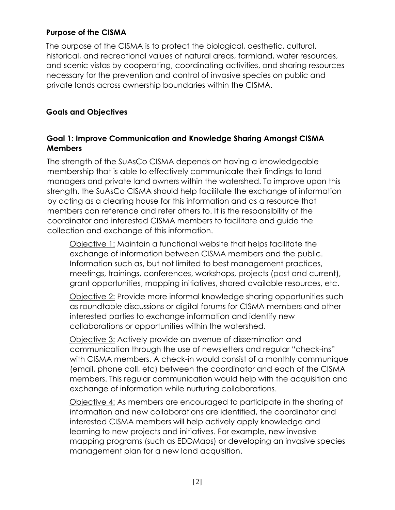#### **Purpose of the CISMA**

The purpose of the CISMA is to protect the biological, aesthetic, cultural, historical, and recreational values of natural areas, farmland, water resources, and scenic vistas by cooperating, coordinating activities, and sharing resources necessary for the prevention and control of invasive species on public and private lands across ownership boundaries within the CISMA.

### **Goals and Objectives**

### **Goal 1: Improve Communication and Knowledge Sharing Amongst CISMA Members**

The strength of the SuAsCo CISMA depends on having a knowledgeable membership that is able to effectively communicate their findings to land managers and private land owners within the watershed. To improve upon this strength, the SuAsCo CISMA should help facilitate the exchange of information by acting as a clearing house for this information and as a resource that members can reference and refer others to. It is the responsibility of the coordinator and interested CISMA members to facilitate and guide the collection and exchange of this information.

Objective 1: Maintain a functional website that helps facilitate the exchange of information between CISMA members and the public. Information such as, but not limited to best management practices, meetings, trainings, conferences, workshops, projects (past and current), grant opportunities, mapping initiatives, shared available resources, etc.

Objective 2: Provide more informal knowledge sharing opportunities such as roundtable discussions or digital forums for CISMA members and other interested parties to exchange information and identify new collaborations or opportunities within the watershed.

Objective 3: Actively provide an avenue of dissemination and communication through the use of newsletters and regular "check-ins" with CISMA members. A check-in would consist of a monthly communique (email, phone call, etc) between the coordinator and each of the CISMA members. This regular communication would help with the acquisition and exchange of information while nurturing collaborations.

Objective 4: As members are encouraged to participate in the sharing of information and new collaborations are identified, the coordinator and interested CISMA members will help actively apply knowledge and learning to new projects and initiatives. For example, new invasive mapping programs (such as EDDMaps) or developing an invasive species management plan for a new land acquisition.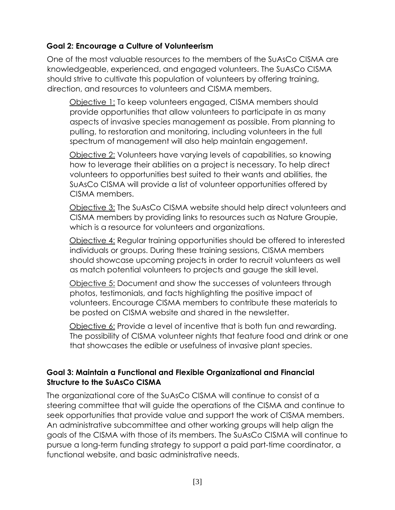## **Goal 2: Encourage a Culture of Volunteerism**

One of the most valuable resources to the members of the SuAsCo CISMA are knowledgeable, experienced, and engaged volunteers. The SuAsCo CISMA should strive to cultivate this population of volunteers by offering training, direction, and resources to volunteers and CISMA members.

Objective 1: To keep volunteers engaged, CISMA members should provide opportunities that allow volunteers to participate in as many aspects of invasive species management as possible. From planning to pulling, to restoration and monitoring, including volunteers in the full spectrum of management will also help maintain engagement.

Objective 2: Volunteers have varying levels of capabilities, so knowing how to leverage their abilities on a project is necessary. To help direct volunteers to opportunities best suited to their wants and abilities, the SuAsCo CISMA will provide a list of volunteer opportunities offered by CISMA members.

Objective 3: The SuAsCo CISMA website should help direct volunteers and CISMA members by providing links to resources such as Nature Groupie, which is a resource for volunteers and organizations.

Objective 4: Regular training opportunities should be offered to interested individuals or groups. During these training sessions, CISMA members should showcase upcoming projects in order to recruit volunteers as well as match potential volunteers to projects and gauge the skill level.

Objective 5: Document and show the successes of volunteers through photos, testimonials, and facts highlighting the positive impact of volunteers. Encourage CISMA members to contribute these materials to be posted on CISMA website and shared in the newsletter.

Objective 6: Provide a level of incentive that is both fun and rewarding. The possibility of CISMA volunteer nights that feature food and drink or one that showcases the edible or usefulness of invasive plant species.

## **Goal 3: Maintain a Functional and Flexible Organizational and Financial Structure to the SuAsCo CISMA**

The organizational core of the SuAsCo CISMA will continue to consist of a steering committee that will guide the operations of the CISMA and continue to seek opportunities that provide value and support the work of CISMA members. An administrative subcommittee and other working groups will help align the goals of the CISMA with those of its members. The SuAsCo CISMA will continue to pursue a long-term funding strategy to support a paid part-time coordinator, a functional website, and basic administrative needs.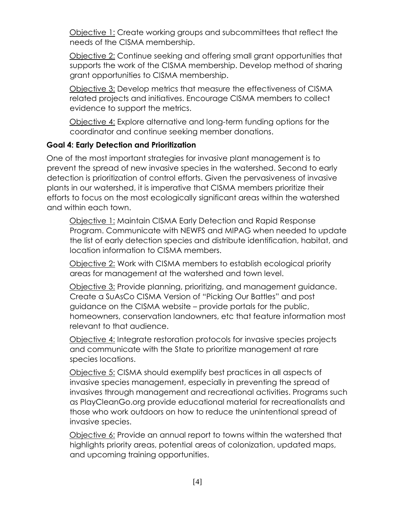Objective 1: Create working groups and subcommittees that reflect the needs of the CISMA membership.

Objective 2: Continue seeking and offering small grant opportunities that supports the work of the CISMA membership. Develop method of sharing grant opportunities to CISMA membership.

Objective 3: Develop metrics that measure the effectiveness of CISMA related projects and initiatives. Encourage CISMA members to collect evidence to support the metrics.

Objective 4: Explore alternative and long-term funding options for the coordinator and continue seeking member donations.

## **Goal 4: Early Detection and Prioritization**

One of the most important strategies for invasive plant management is to prevent the spread of new invasive species in the watershed. Second to early detection is prioritization of control efforts. Given the pervasiveness of invasive plants in our watershed, it is imperative that CISMA members prioritize their efforts to focus on the most ecologically significant areas within the watershed and within each town.

Objective 1: Maintain CISMA Early Detection and Rapid Response Program. Communicate with NEWFS and MIPAG when needed to update the list of early detection species and distribute identification, habitat, and location information to CISMA members.

Objective 2: Work with CISMA members to establish ecological priority areas for management at the watershed and town level.

Objective 3: Provide planning, prioritizing, and management guidance. Create a SuAsCo CISMA Version of "Picking Our Battles" and post guidance on the CISMA website – provide portals for the public, homeowners, conservation landowners, etc that feature information most relevant to that audience.

Objective 4: Integrate restoration protocols for invasive species projects and communicate with the State to prioritize management at rare species locations.

Objective 5: CISMA should exemplify best practices in all aspects of invasive species management, especially in preventing the spread of invasives through management and recreational activities. Programs such as PlayCleanGo.org provide educational material for recreationalists and those who work outdoors on how to reduce the unintentional spread of invasive species.

Objective 6: Provide an annual report to towns within the watershed that highlights priority areas, potential areas of colonization, updated maps, and upcoming training opportunities.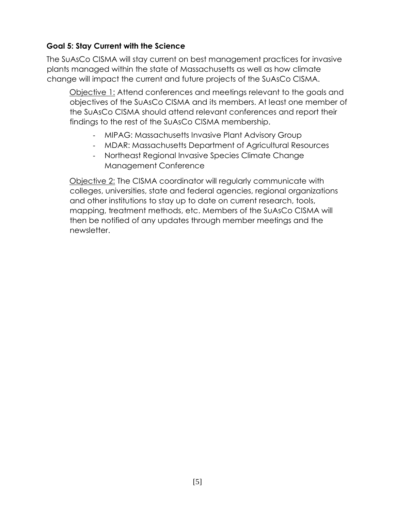## **Goal 5: Stay Current with the Science**

The SuAsCo CISMA will stay current on best management practices for invasive plants managed within the state of Massachusetts as well as how climate change will impact the current and future projects of the SuAsCo CISMA.

Objective 1: Attend conferences and meetings relevant to the goals and objectives of the SuAsCo CISMA and its members. At least one member of the SuAsCo CISMA should attend relevant conferences and report their findings to the rest of the SuAsCo CISMA membership.

- MIPAG: Massachusetts Invasive Plant Advisory Group
- MDAR: Massachusetts Department of Agricultural Resources
- Northeast Regional Invasive Species Climate Change Management Conference

Objective 2: The CISMA coordinator will regularly communicate with colleges, universities, state and federal agencies, regional organizations and other institutions to stay up to date on current research, tools, mapping, treatment methods, etc. Members of the SuAsCo CISMA will then be notified of any updates through member meetings and the newsletter.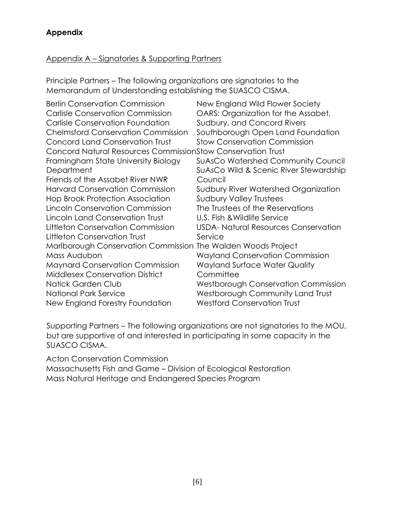## **Appendix**

### Appendix A – Signatories & Supporting Partners

Principle Partners – The following organizations are signatories to the Memorandum of Understanding establishing the SUASCO CISMA.

| <b>Berlin Conservation Commission</b>                              | New England Wild Flower Society            |
|--------------------------------------------------------------------|--------------------------------------------|
| <b>Carlisle Conservation Commission</b>                            | OARS: Organization for the Assabet,        |
| <b>Carlisle Conservation Foundation</b>                            | Sudbury, and Concord Rivers                |
| <b>Chelmsford Conservation Commission</b>                          | Southborough Open Land Foundation          |
| Concord Land Conservation Trust                                    | <b>Stow Conservation Commission</b>        |
| <b>Concord Natural Resources CommissionStow Conservation Trust</b> |                                            |
| Framingham State University Biology                                | <b>SuAsCo Watershed Community Council</b>  |
| Department                                                         | SuAsCo Wild & Scenic River Stewardship     |
| Friends of the Assabet River NWR                                   | Council                                    |
| <b>Harvard Conservation Commission</b>                             | Sudbury River Watershed Organization       |
| <b>Hop Brook Protection Association</b>                            | <b>Sudbury Valley Trustees</b>             |
| Lincoln Conservation Commission                                    | The Trustees of the Reservations           |
| Lincoln Land Conservation Trust                                    | U.S. Fish & Wildlife Service               |
| Littleton Conservation Commission                                  | USDA-Natural Resources Conservation        |
| Littleton Conservation Trust                                       | Service                                    |
| Marlborough Conservation Commission The Walden Woods Project       |                                            |
| Mass Audubon                                                       | <b>Wayland Conservation Commission</b>     |
| <b>Maynard Conservation Commission</b>                             | <b>Wayland Surface Water Quality</b>       |
| <b>Middlesex Conservation District</b>                             | Committee                                  |
| Natick Garden Club                                                 | <b>Westborough Conservation Commission</b> |
| National Park Service                                              | Westborough Community Land Trust           |
| New England Forestry Foundation                                    | <b>Westford Conservation Trust</b>         |
|                                                                    |                                            |

Supporting Partners – The following organizations are not signatories to the MOU, but are supportive of and interested in participating in some capacity in the SUASCO CISMA.

Acton Conservation Commission

Massachusetts Fish and Game – Division of Ecological Restoration Mass Natural Heritage and Endangered Species Program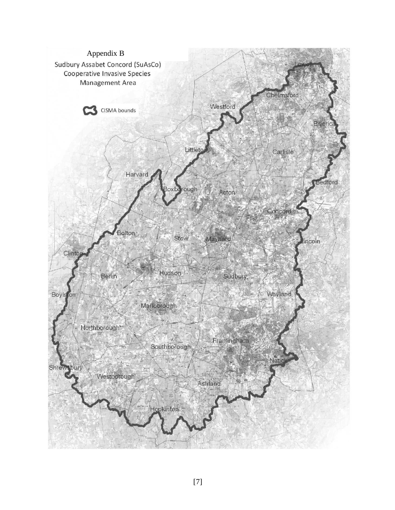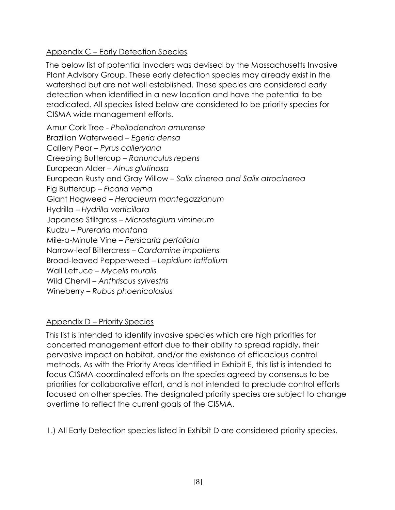## Appendix C – Early Detection Species

The below list of potential invaders was devised by the Massachusetts Invasive Plant Advisory Group. These early detection species may already exist in the watershed but are not well established. These species are considered early detection when identified in a new location and have the potential to be eradicated. All species listed below are considered to be priority species for CISMA wide management efforts.

Amur Cork Tree - *Phellodendron amurense* Brazilian Waterweed – *Egeria densa* Callery Pear – *Pyrus calleryana* Creeping Buttercup – *Ranunculus repens* European Alder – *Alnus glutinosa* European Rusty and Gray Willow – *Salix cinerea and Salix atrocinerea* Fig Buttercup – *Ficaria verna* Giant Hogweed – *Heracleum mantegazzianum* Hydrilla – *Hydrilla verticillata* Japanese Stiltgrass – *Microstegium vimineum* Kudzu – *Pureraria montana* Mile-a-Minute Vine – *Persicaria perfoliata* Narrow-leaf Bittercress – *Cardamine impatiens* Broad-leaved Pepperweed – *Lepidium latifolium* Wall Lettuce – *Mycelis muralis* Wild Chervil – *Anthriscus sylvestris* Wineberry – *Rubus phoenicolasius*

## Appendix D – Priority Species

This list is intended to identify invasive species which are high priorities for concerted management effort due to their ability to spread rapidly, their pervasive impact on habitat, and/or the existence of efficacious control methods. As with the Priority Areas identified in Exhibit E, this list is intended to focus CISMA-coordinated efforts on the species agreed by consensus to be priorities for collaborative effort, and is not intended to preclude control efforts focused on other species. The designated priority species are subject to change overtime to reflect the current goals of the CISMA.

1.) All Early Detection species listed in Exhibit D are considered priority species.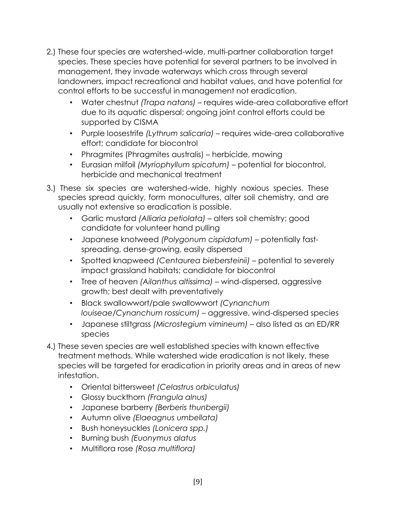- 2.) These four species are watershed-wide, multi-partner collaboration target species. These species have potential for several partners to be involved in management, they invade waterways which cross through several landowners, impact recreational and habitat values, and have potential for control efforts to be successful in management not eradication.
	- Water chestnut *(Trapa natans)*  requires wide-area collaborative effort due to its aquatic dispersal; ongoing joint control efforts could be supported by CISMA
	- Purple loosestrife *(Lythrum salicaria)* requires wide-area collaborative effort; candidate for biocontrol
	- Phragmites (Phragmites australis) herbicide, mowing
	- Eurasian milfoil *(Myriophyllum spicatum)* potential for biocontrol, herbicide and mechanical treatment
- 3.) These six species are watershed-wide, highly noxious species. These species spread quickly, form monocultures, alter soil chemistry, and are usually not extensive so eradication is possible.
	- Garlic mustard *(Alliaria petiolata)* alters soil chemistry; good candidate for volunteer hand pulling
	- Japanese knotweed *(Polygonum cispidatum)* potentially fastspreading, dense-growing, easily dispersed
	- Spotted knapweed *(Centaurea biebersteinii)* potential to severely impact grassland habitats; candidate for biocontrol
	- Tree of heaven *(Ailanthus altissima)* wind-dispersed, aggressive growth; best dealt with preventatively
	- Black swallowwort/pale swallowwort *(Cynanchum louiseae/Cynanchum rossicum)* – aggressive, wind-dispersed species
	- Japanese stiltgrass *(Microstegium vimineum)* also listed as an ED/RR species
- 4.) These seven species are well established species with known effective treatment methods. While watershed wide eradication is not likely, these species will be targeted for eradication in priority areas and in areas of new infestation.
	- Oriental bittersweet *(Celastrus orbiculatus)*
	- Glossy buckthorn *(Frangula alnus)*
	- Japanese barberry *(Berberis thunbergii)*
	- Autumn olive *(Elaeagnus umbellata)*
	- Bush honeysuckles *(Lonicera spp.)*
	- Burning bush *(Euonymus alatus*
	- Multiflora rose *(Rosa multiflora)*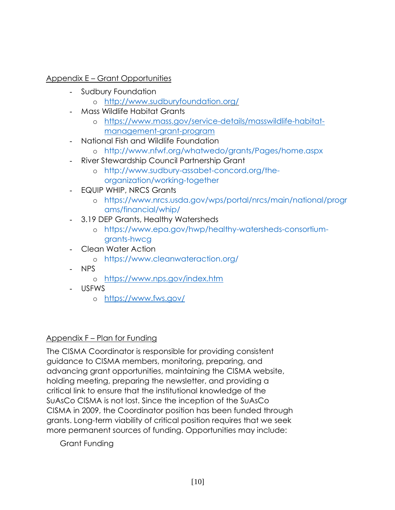## Appendix E – Grant Opportunities

- Sudbury Foundation
	- o <http://www.sudburyfoundation.org/>
- Mass Wildlife Habitat Grants
	- o [https://www.mass.gov/service-details/masswildlife-habitat](https://www.mass.gov/service-details/masswildlife-habitat-management-grant-program)[management-grant-program](https://www.mass.gov/service-details/masswildlife-habitat-management-grant-program)
- National Fish and Wildlife Foundation
	- o <http://www.nfwf.org/whatwedo/grants/Pages/home.aspx>
- River Stewardship Council Partnership Grant
	- o [http://www.sudbury-assabet-concord.org/the](http://www.sudbury-assabet-concord.org/the-organization/working-together)[organization/working-together](http://www.sudbury-assabet-concord.org/the-organization/working-together)
- EQUIP WHIP, NRCS Grants
	- o [https://www.nrcs.usda.gov/wps/portal/nrcs/main/national/progr](https://www.nrcs.usda.gov/wps/portal/nrcs/main/national/programs/financial/whip/) [ams/financial/whip/](https://www.nrcs.usda.gov/wps/portal/nrcs/main/national/programs/financial/whip/)
- 3.19 DEP Grants, Healthy Watersheds
	- o [https://www.epa.gov/hwp/healthy-watersheds-consortium](https://www.epa.gov/hwp/healthy-watersheds-consortium-grants-hwcg)[grants-hwcg](https://www.epa.gov/hwp/healthy-watersheds-consortium-grants-hwcg)
- Clean Water Action
	- o <https://www.cleanwateraction.org/>
- NPS
	- o <https://www.nps.gov/index.htm>
- USFWS
	- o <https://www.fws.gov/>

# Appendix F – Plan for Funding

The CISMA Coordinator is responsible for providing consistent guidance to CISMA members, monitoring, preparing, and advancing grant opportunities, maintaining the CISMA website, holding meeting, preparing the newsletter, and providing a critical link to ensure that the institutional knowledge of the SuAsCo CISMA is not lost. Since the inception of the SuAsCo CISMA in 2009, the Coordinator position has been funded through grants. Long-term viability of critical position requires that we seek more permanent sources of funding. Opportunities may include:

Grant Funding